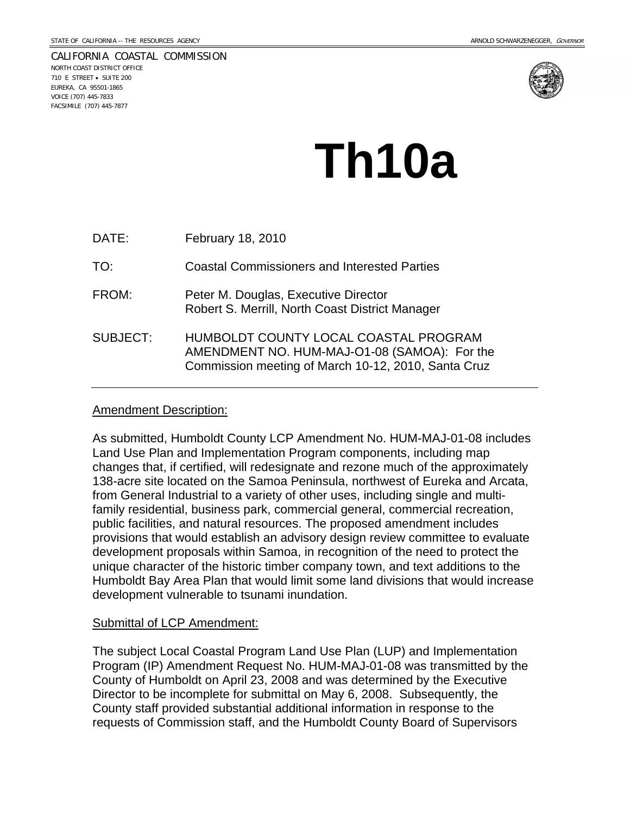CALIFORNIA COASTAL COMMISSION NORTH COAST DISTRICT OFFICE 710 E STREET • SUITE 200 EUREKA, CA 95501-1865 VOICE (707) 445-7833 FACSIMILE (707) 445-7877



# **Th10a**

| DATE:           | February 18, 2010                                                                                                                            |
|-----------------|----------------------------------------------------------------------------------------------------------------------------------------------|
| TO:             | <b>Coastal Commissioners and Interested Parties</b>                                                                                          |
| FROM:           | Peter M. Douglas, Executive Director<br>Robert S. Merrill, North Coast District Manager                                                      |
| <b>SUBJECT:</b> | HUMBOLDT COUNTY LOCAL COASTAL PROGRAM<br>AMENDMENT NO. HUM-MAJ-O1-08 (SAMOA): For the<br>Commission meeting of March 10-12, 2010, Santa Cruz |

#### Amendment Description:

As submitted, Humboldt County LCP Amendment No. HUM-MAJ-01-08 includes Land Use Plan and Implementation Program components, including map changes that, if certified, will redesignate and rezone much of the approximately 138-acre site located on the Samoa Peninsula, northwest of Eureka and Arcata, from General Industrial to a variety of other uses, including single and multifamily residential, business park, commercial general, commercial recreation, public facilities, and natural resources. The proposed amendment includes provisions that would establish an advisory design review committee to evaluate development proposals within Samoa, in recognition of the need to protect the unique character of the historic timber company town, and text additions to the Humboldt Bay Area Plan that would limit some land divisions that would increase development vulnerable to tsunami inundation.

#### Submittal of LCP Amendment:

The subject Local Coastal Program Land Use Plan (LUP) and Implementation Program (IP) Amendment Request No. HUM-MAJ-01-08 was transmitted by the County of Humboldt on April 23, 2008 and was determined by the Executive Director to be incomplete for submittal on May 6, 2008. Subsequently, the County staff provided substantial additional information in response to the requests of Commission staff, and the Humboldt County Board of Supervisors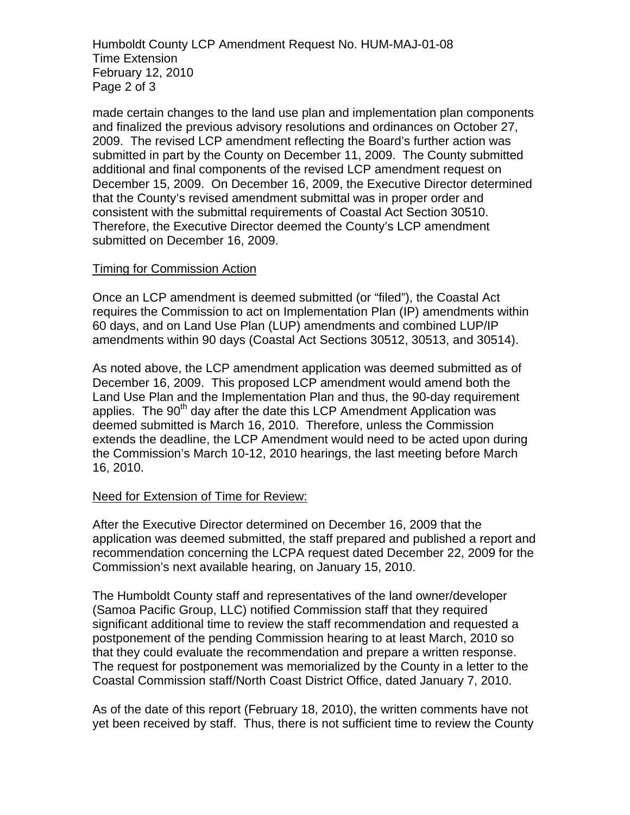Humboldt County LCP Amendment Request No. HUM-MAJ-01-08 Time Extension February 12, 2010 Page 2 of 3

made certain changes to the land use plan and implementation plan components and finalized the previous advisory resolutions and ordinances on October 27, 2009. The revised LCP amendment reflecting the Board's further action was submitted in part by the County on December 11, 2009. The County submitted additional and final components of the revised LCP amendment request on December 15, 2009. On December 16, 2009, the Executive Director determined that the County's revised amendment submittal was in proper order and consistent with the submittal requirements of Coastal Act Section 30510. Therefore, the Executive Director deemed the County's LCP amendment submitted on December 16, 2009.

#### Timing for Commission Action

Once an LCP amendment is deemed submitted (or "filed"), the Coastal Act requires the Commission to act on Implementation Plan (IP) amendments within 60 days, and on Land Use Plan (LUP) amendments and combined LUP/IP amendments within 90 days (Coastal Act Sections 30512, 30513, and 30514).

As noted above, the LCP amendment application was deemed submitted as of December 16, 2009. This proposed LCP amendment would amend both the Land Use Plan and the Implementation Plan and thus, the 90-day requirement applies. The 90<sup>th</sup> day after the date this LCP Amendment Application was deemed submitted is March 16, 2010. Therefore, unless the Commission extends the deadline, the LCP Amendment would need to be acted upon during the Commission's March 10-12, 2010 hearings, the last meeting before March 16, 2010.

# Need for Extension of Time for Review:

After the Executive Director determined on December 16, 2009 that the application was deemed submitted, the staff prepared and published a report and recommendation concerning the LCPA request dated December 22, 2009 for the Commission's next available hearing, on January 15, 2010.

The Humboldt County staff and representatives of the land owner/developer (Samoa Pacific Group, LLC) notified Commission staff that they required significant additional time to review the staff recommendation and requested a postponement of the pending Commission hearing to at least March, 2010 so that they could evaluate the recommendation and prepare a written response. The request for postponement was memorialized by the County in a letter to the Coastal Commission staff/North Coast District Office, dated January 7, 2010.

As of the date of this report (February 18, 2010), the written comments have not yet been received by staff. Thus, there is not sufficient time to review the County